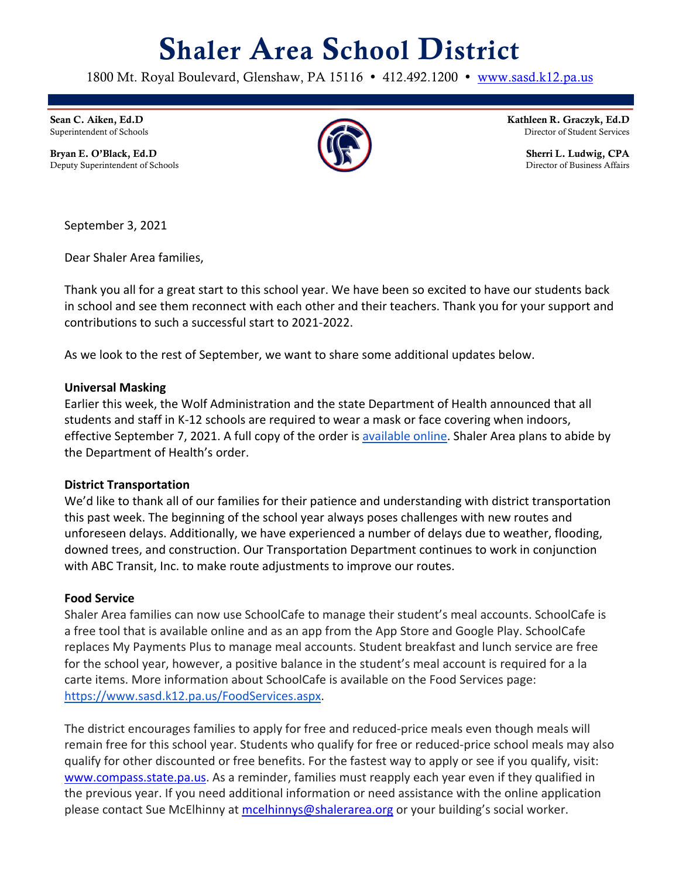# Shaler Area School District

1800 Mt. Royal Boulevard, Glenshaw, PA 15116 • 412.492.1200 • www.sasd.k12.pa.us

Sean C. Aiken, Ed.D Superintendent of Schools

Bryan E. O'Black, Ed.D Deputy Superintendent of Schools



Kathleen R. Graczyk, Ed.D Director of Student Services

> Sherri L. Ludwig, CPA Director of Business Affairs

September 3, 2021

Dear Shaler Area families,

Thank you all for a great start to this school year. We have been so excited to have our students back in school and see them reconnect with each other and their teachers. Thank you for your support and contributions to such a successful start to 2021-2022.

As we look to the rest of September, we want to share some additional updates below.

### **Universal Masking**

Earlier this week, the Wolf Administration and the state Department of Health announced that all students and staff in K-12 schools are required to wear a mask or face covering when indoors, effective September 7, 2021. A full copy of the order is available online. Shaler Area plans to abide by the Department of Health's order.

### **District Transportation**

We'd like to thank all of our families for their patience and understanding with district transportation this past week. The beginning of the school year always poses challenges with new routes and unforeseen delays. Additionally, we have experienced a number of delays due to weather, flooding, downed trees, and construction. Our Transportation Department continues to work in conjunction with ABC Transit, Inc. to make route adjustments to improve our routes.

### **Food Service**

Shaler Area families can now use SchoolCafe to manage their student's meal accounts. SchoolCafe is a free tool that is available online and as an app from the App Store and Google Play. SchoolCafe replaces My Payments Plus to manage meal accounts. Student breakfast and lunch service are free for the school year, however, a positive balance in the student's meal account is required for a la carte items. More information about SchoolCafe is available on the Food Services page: https://www.sasd.k12.pa.us/FoodServices.aspx.

The district encourages families to apply for free and reduced-price meals even though meals will remain free for this school year. Students who qualify for free or reduced-price school meals may also qualify for other discounted or free benefits. For the fastest way to apply or see if you qualify, visit: www.compass.state.pa.us. As a reminder, families must reapply each year even if they qualified in the previous year. If you need additional information or need assistance with the online application please contact Sue McElhinny at mcelhinnys@shalerarea.org or your building's social worker.